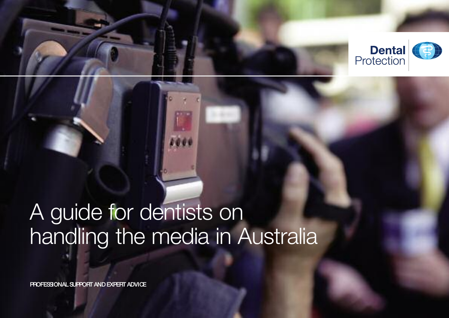

# A guide for dentists on handling the media in Australia

**PROFESSIONAL SUPPORT AND EXPERT ADVICE**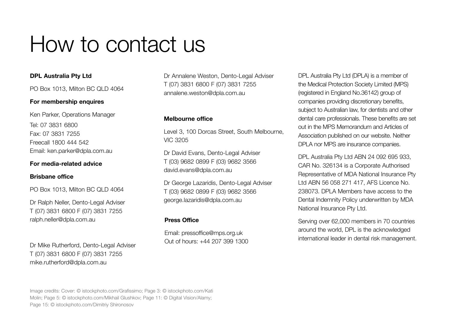# How to contact us

#### **DPL Australia Pty Ltd**

PO Box 1013, Milton BC QLD 4064

#### **For membership enquires**

Ken Parker, Operations Manager Tel: 07 3831 6800 Fax: 07 3831 7255 Freecall 1800 444 542 Email: ken.parker@dpla.com.au

#### **For media-related advice**

#### **Brisbane office**

PO Box 1013, Milton BC QLD 4064

Dr Ralph Neller, Dento-Legal Adviser T (07) 3831 6800 F (07) 3831 7255 ralph.neller@dpla.com.au

Dr Mike Rutherford, Dento-Legal Adviser T (07) 3831 6800 F (07) 3831 7255 mike.rutherford@dpla.com.au

Dr Annalene Weston, Dento-Legal Adviser T (07) 3831 6800 F (07) 3831 7255 annalene.weston@dpla.com.au

#### **Melbourne office**

Level 3, 100 Dorcas Street, South Melbourne, VIC 3205

Dr David Evans, Dento-Legal Adviser T (03) 9682 0899 F (03) 9682 3566 david.evans@dpla.com.au

Dr George Lazaridis, Dento-Legal Adviser T (03) 9682 0899 F (03) 9682 3566 george.lazaridis@dpla.com.au

#### **Press Office**

Email: pressoffice@mps.org.uk Out of hours: +44 207 399 1300 DPL Australia Pty Ltd (DPLA) is a member of the Medical Protection Society Limited (MPS) (registered in England No.36142) group of companies providing discretionary benefits, subject to Australian law, for dentists and other dental care professionals. These benefits are set out in the MPS Memorandum and Articles of Association published on our website. Neither DPLA nor MPS are insurance companies.

DPL Australia Pty Ltd ABN 24 092 695 933, CAR No. 326134 is a Corporate Authorised Representative of MDA National Insurance Pty Ltd ABN 56 058 271 417, AFS Licence No. 238073. DPLA Members have access to the Dental Indemnity Policy underwritten by MDA National Insurance Pty Ltd.

Serving over 62,000 members in 70 countries around the world, DPL is the acknowledged international leader in dental risk management.

Image credits: Cover: © istockphoto.com/Grafissimo; Page 3: © istockphoto.com/Kati Molin; Page 5: © istockphoto.com/Mikhail Glushkov; Page 11: © Digital Vision/Alamy; Page 15: © istockphoto.com/Dimitriy Shironosov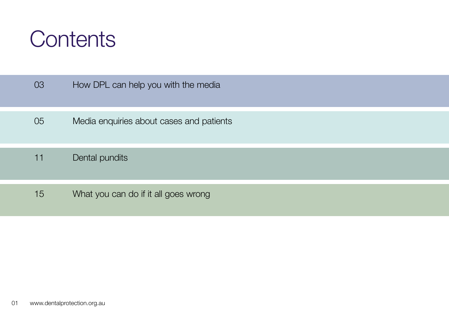

| 03 | How DPL can help you with the media      |
|----|------------------------------------------|
| 05 | Media enquiries about cases and patients |
| 11 | Dental pundits                           |
| 15 | What you can do if it all goes wrong     |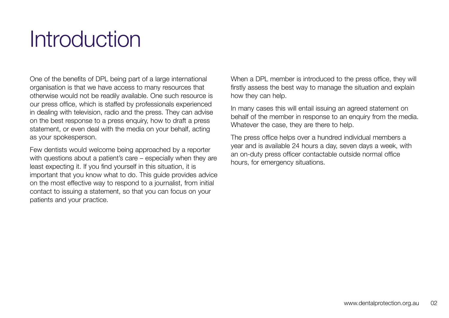# **Introduction**

One of the benefits of DPL being part of a large international organisation is that we have access to many resources that otherwise would not be readily available. One such resource is our press office, which is staffed by professionals experienced in dealing with television, radio and the press. They can advise on the best response to a press enquiry, how to draft a press statement, or even deal with the media on your behalf, acting as your spokesperson.

Few dentists would welcome being approached by a reporter with questions about a patient's care – especially when they are least expecting it. If you find yourself in this situation, it is important that you know what to do. This guide provides advice on the most effective way to respond to a journalist, from initial contact to issuing a statement, so that you can focus on your patients and your practice.

When a DPL member is introduced to the press office, they will firstly assess the best way to manage the situation and explain how they can help.

In many cases this will entail issuing an agreed statement on behalf of the member in response to an enquiry from the media. Whatever the case, they are there to help.

The press office helps over a hundred individual members a year and is available 24 hours a day, seven days a week, with an on-duty press officer contactable outside normal office hours, for emergency situations.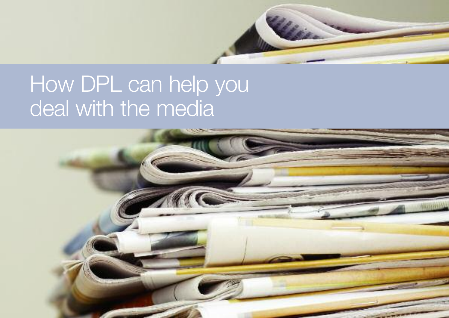

# How DPL can help you deal with the media

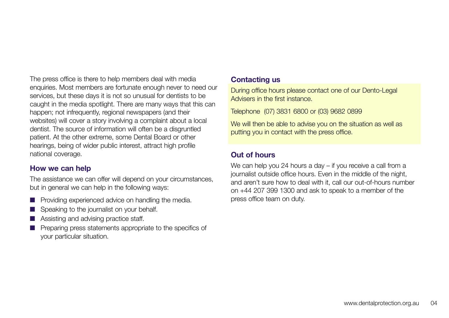The press office is there to help members deal with media enquiries. Most members are fortunate enough never to need our services, but these days it is not so unusual for dentists to be caught in the media spotlight. There are many ways that this can happen; not infrequently, regional newspapers (and their websites) will cover a story involving a complaint about a local dentist. The source of information will often be a disgruntled patient. At the other extreme, some Dental Board or other hearings, being of wider public interest, attract high profile national coverage.

### **How we can help**

The assistance we can offer will depend on your circumstances, but in general we can help in the following ways:

- $\blacksquare$  Providing experienced advice on handling the media.
- $\blacksquare$  Speaking to the journalist on your behalf.
- $\blacksquare$  Assisting and advising practice staff.
- $\blacksquare$  Preparing press statements appropriate to the specifics of your particular situation.

#### **Contacting us**

During office hours please contact one of our Dento-Legal Advisers in the first instance.

Telephone (07) 3831 6800 or (03) 9682 0899

We will then be able to advise you on the situation as well as putting you in contact with the press office.

# **Out of hours**

We can help you 24 hours a day – if you receive a call from a journalist outside office hours. Even in the middle of the night, and aren't sure how to deal with it, call our out-of-hours number on +44 207 399 1300 and ask to speak to a member of the press office team on duty.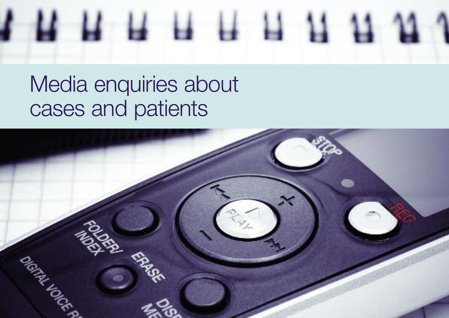

# Media enquiries about cases and patients

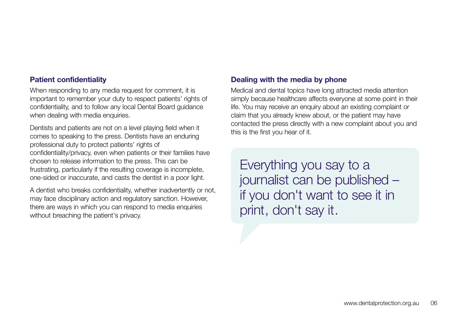#### **Patient confidentiality**

When responding to any media request for comment, it is important to remember your duty to respect patients' rights of confidentiality, and to follow any local Dental Board guidance when dealing with media enquiries.

Dentists and patients are not on a level playing field when it comes to speaking to the press. Dentists have an enduring professional duty to protect patients' rights of confidentiality/privacy, even when patients or their families have chosen to release information to the press. This can be frustrating, particularly if the resulting coverage is incomplete, one-sided or inaccurate, and casts the dentist in a poor light.

A dentist who breaks confidentiality, whether inadvertently or not, may face disciplinary action and regulatory sanction. However, there are ways in which you can respond to media enquiries without breaching the patient's privacy.

### **Dealing with the media by phone**

Medical and dental topics have long attracted media attention simply because healthcare affects everyone at some point in their life. You may receive an enquiry about an existing complaint or claim that you already knew about, or the patient may have contacted the press directly with a new complaint about you and this is the first you hear of it.

Everything you say to a journalist can be published – if you don't want to see it in print, don't say it.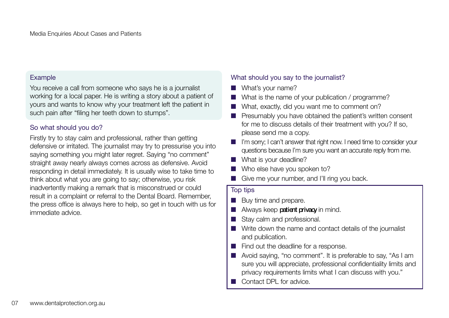#### Example

You receive a call from someone who says he is a journalist working for a local paper. He is writing a story about a patient of yours and wants to know why your treatment left the patient in such pain after "filing her teeth down to stumps".

### So what should you do?

Firstly try to stay calm and professional, rather than getting defensive or irritated. The journalist may try to pressurise you into saying something you might later regret. Saying "no comment" straight away nearly always comes across as defensive. Avoid responding in detail immediately. It is usually wise to take time to think about what you are going to say; otherwise, you risk inadvertently making a remark that is misconstrued or could result in a complaint or referral to the Dental Board. Remember, the press office is always here to help, so get in touch with us for immediate advice.

### What should you say to the journalist?

- **No. 3** What's your name?
- What is the name of your publication / programme?
- What, exactly, did you want me to comment on?
- **n** Presumably you have obtained the patient's written consent for me to discuss details of their treatment with you? If so, please send me a copy.
- I'm sorry: I can't answer that right now. I need time to consider your questions because I'm sure you want an accurate reply from me.
- $\blacksquare$  What is your deadline?
- Who else have you spoken to?
- Give me your number, and I'll ring you back.

#### Top tips

- $\blacksquare$  Buy time and prepare.
- **n** Always keep **patient privacy** in mind.
- Stay calm and professional.
- $\blacksquare$  Write down the name and contact details of the journalist and publication.
- $\blacksquare$  Find out the deadline for a response.
- Avoid saying, "no comment". It is preferable to say, "As I am sure you will appreciate, professional confidentiality limits and privacy requirements limits what I can discuss with you."
- **n** Contact DPL for advice.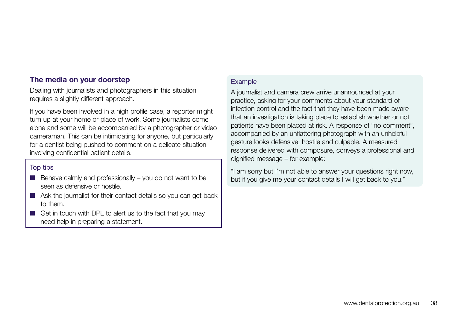### **The media on your doorstep**

Dealing with journalists and photographers in this situation requires a slightly different approach.

If you have been involved in a high profile case, a reporter might turn up at your home or place of work. Some journalists come alone and some will be accompanied by a photographer or video cameraman. This can be intimidating for anyone, but particularly for a dentist being pushed to comment on a delicate situation involving confidential patient details.

#### Top tips

- $\Box$  Behave calmly and professionally you do not want to be seen as defensive or hostile.
- $\blacksquare$  Ask the journalist for their contact details so you can get back to them.
- $\blacksquare$  Get in touch with DPL to alert us to the fact that you may need help in preparing a statement.

#### **Example**

A journalist and camera crew arrive unannounced at your practice, asking for your comments about your standard of infection control and the fact that they have been made aware that an investigation is taking place to establish whether or not patients have been placed at risk. A response of "no comment", accompanied by an unflattering photograph with an unhelpful gesture looks defensive, hostile and culpable. A measured response delivered with composure, conveys a professional and dignified message – for example:

"I am sorry but I'm not able to answer your questions right now, but if you give me your contact details I will get back to you."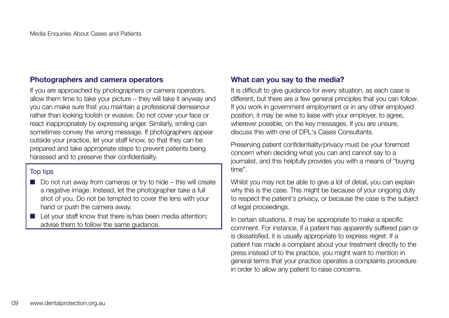### **Photographers and camera operators**

If you are approached by photographers or camera operators, allow them time to take your picture – they will take it anyway and you can make sure that you maintain a professional demeanour rather than looking foolish or evasive. Do not cover your face or react inappropriately by expressing anger. Similarly, smiling can sometimes convey the wrong message. If photographers appear outside your practice, let your staff know, so that they can be prepared and take appropriate steps to prevent patients being harassed and to preserve their confidentiality.

#### Top tips

- $\Box$  Do not run away from cameras or try to hide this will create a negative image. Instead, let the photographer take a full shot of you. Do not be tempted to cover the lens with your hand or push the camera away.
- $\blacksquare$  Let your staff know that there is/has been media attention; advise them to follow the same guidance.

### **What can you say to the media?**

It is difficult to give guidance for every situation, as each case is different, but there are a few general principles that you can follow. If you work in government employment or in any other employed position, it may be wise to liaise with your employer, to agree, wherever possible, on the key messages. If you are unsure, discuss this with one of DPL's Cases Consultants.

Preserving patient confidentiality/privacy must be your foremost concern when deciding what you can and cannot say to a journalist, and this helpfully provides you with a means of "buying time".

Whilst you may not be able to give a lot of detail, you can explain why this is the case. This might be because of your ongoing duty to respect the patient's privacy, or because the case is the subject of legal proceedings.

In certain situations, it may be appropriate to make a specific comment. For instance, if a patient has apparently suffered pain or is dissatisfied, it is usually appropriate to express regret. If a patient has made a complaint about your treatment directly to the press instead of to the practice, you might want to mention in general terms that your practice operates a complaints procedure in order to allow any patient to raise concerns.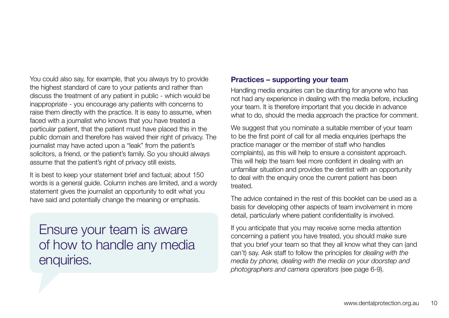You could also say, for example, that you always try to provide the highest standard of care to your patients and rather than discuss the treatment of any patient in public - which would be inappropriate - you encourage any patients with concerns to raise them directly with the practice. It is easy to assume, when faced with a journalist who knows that you have treated a particular patient, that the patient must have placed this in the public domain and therefore has waived their right of privacy. The journalist may have acted upon a "leak" from the patient's solicitors, a friend, or the patient's family. So you should always assume that the patient's right of privacy still exists.

It is best to keep your statement brief and factual; about 150 words is a general guide. Column inches are limited, and a wordy statement gives the journalist an opportunity to edit what you have said and potentially change the meaning or emphasis.

Ensure your team is aware of how to handle any media enquiries.

#### **Practices – supporting your team**

Handling media enquiries can be daunting for anyone who has not had any experience in dealing with the media before, including your team. It is therefore important that you decide in advance what to do, should the media approach the practice for comment.

We suggest that you nominate a suitable member of your team to be the first point of call for all media enquiries (perhaps the practice manager or the member of staff who handles complaints), as this will help to ensure a consistent approach. This will help the team feel more confident in dealing with an unfamiliar situation and provides the dentist with an opportunity to deal with the enquiry once the current patient has been treated.

The advice contained in the rest of this booklet can be used as a basis for developing other aspects of team involvement in more detail, particularly where patient confidentiality is involved.

If you anticipate that you may receive some media attention concerning a patient you have treated, you should make sure that you brief your team so that they all know what they can (and can't) say. Ask staff to follow the principles for *dealing with the media by phone, dealing with the media on your doorstep and photographers and camera operators* (see page 6-9).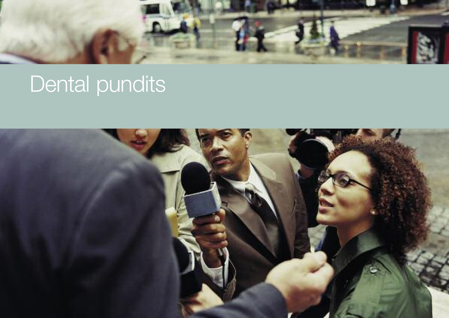

# Dental pundits

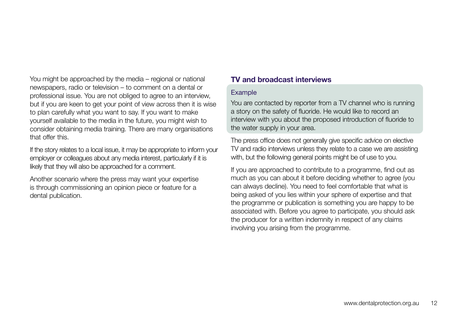You might be approached by the media – regional or national newspapers, radio or television – to comment on a dental or professional issue. You are not obliged to agree to an interview, but if you are keen to get your point of view across then it is wise to plan carefully what you want to say. If you want to make yourself available to the media in the future, you might wish to consider obtaining media training. There are many organisations that offer this.

If the story relates to a local issue, it may be appropriate to inform your employer or colleagues about any media interest, particularly if it is likely that they will also be approached for a comment.

Another scenario where the press may want your expertise is through commissioning an opinion piece or feature for a dental publication.

# **TV and broadcast interviews**

#### Example

You are contacted by reporter from a TV channel who is running a story on the safety of fluoride. He would like to record an interview with you about the proposed introduction of fluoride to the water supply in your area.

The press office does not generally give specific advice on elective TV and radio interviews unless they relate to a case we are assisting with, but the following general points might be of use to you.

If you are approached to contribute to a programme, find out as much as you can about it before deciding whether to agree (you can always decline). You need to feel comfortable that what is being asked of you lies within your sphere of expertise and that the programme or publication is something you are happy to be associated with. Before you agree to participate, you should ask the producer for a written indemnity in respect of any claims involving you arising from the programme.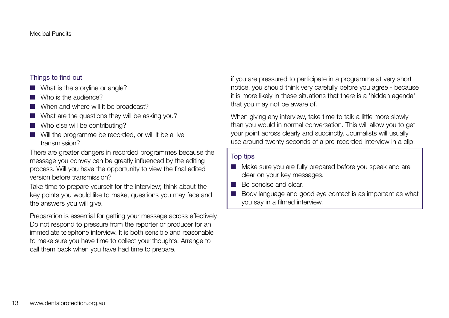### Things to find out

- $\blacksquare$  What is the storyline or angle?
- $\blacksquare$  Who is the audience?
- $\blacksquare$  When and where will it be broadcast?
- $\blacksquare$  What are the questions they will be asking you?
- $\blacksquare$  Who else will be contributing?
- $\blacksquare$  Will the programme be recorded, or will it be a live transmission?

There are greater dangers in recorded programmes because the message you convey can be greatly influenced by the editing process. Will you have the opportunity to view the final edited version before transmission?

Take time to prepare yourself for the interview; think about the key points you would like to make, questions you may face and the answers you will give.

Preparation is essential for getting your message across effectively. Do not respond to pressure from the reporter or producer for an immediate telephone interview. It is both sensible and reasonable to make sure you have time to collect your thoughts. Arrange to call them back when you have had time to prepare.

if you are pressured to participate in a programme at very short notice, you should think very carefully before you agree - because it is more likely in these situations that there is a 'hidden agenda' that you may not be aware of.

When giving any interview, take time to talk a little more slowly than you would in normal conversation. This will allow you to get your point across clearly and succinctly. Journalists will usually use around twenty seconds of a pre-recorded interview in a clip.

### Top tips

- Make sure you are fully prepared before you speak and are clear on your key messages.
- **n** Be concise and clear.
- $\Box$  Body language and good eye contact is as important as what you say in a filmed interview.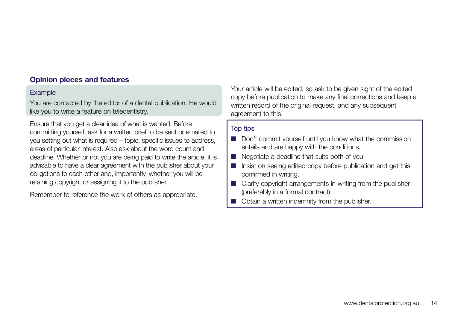# **Opinion pieces and features**

#### Example

You are contacted by the editor of a dental publication. He would like you to write a feature on teledentistry.

Ensure that you get a clear idea of what is wanted. Before committing yourself, ask for a written brief to be sent or emailed to you setting out what is required – topic, specific issues to address, areas of particular interest. Also ask about the word count and deadline. Whether or not you are being paid to write the article, it is advisable to have a clear agreement with the publisher about your obligations to each other and, importantly, whether you will be retaining copyright or assigning it to the publisher.

Remember to reference the work of others as appropriate.

Your article will be edited, so ask to be given sight of the edited copy before publication to make any final corrections and keep a written record of the original request, and any subsequent agreement to this.

#### Top tips

- Don't commit yourself until you know what the commission entails and are happy with the conditions.
- $\blacksquare$  Negotiate a deadline that suits both of you.
- n Insist on seeing edited copy before publication and get this confirmed in writing.
- $\blacksquare$  Clarify copyright arrangements in writing from the publisher (preferably in a formal contract).
- $\Box$  Obtain a written indemnity from the publisher.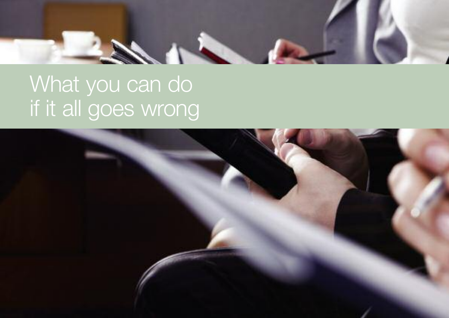

# What you can do If it all goes wrong

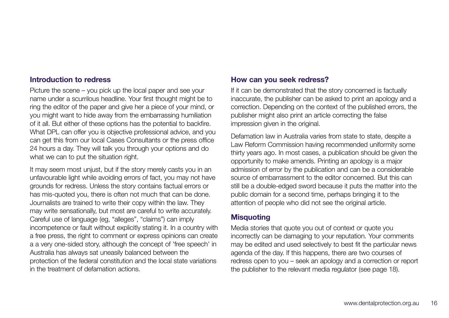### **Introduction to redress**

Picture the scene – you pick up the local paper and see your name under a scurrilous headline. Your first thought might be to ring the editor of the paper and give her a piece of your mind, or you might want to hide away from the embarrassing humiliation of it all. But either of these options has the potential to backfire. What DPL can offer you is objective professional advice, and you can get this from our local Cases Consultants or the press office 24 hours a day. They will talk you through your options and do what we can to put the situation right.

It may seem most unjust, but if the story merely casts you in an unfavourable light while avoiding errors of fact, you may not have grounds for redress. Unless the story contains factual errors or has mis-quoted you, there is often not much that can be done. Journalists are trained to write their copy within the law. They may write sensationally, but most are careful to write accurately. Careful use of language (eg, "alleges", "claims") can imply incompetence or fault without explicitly stating it. In a country with a free press, the right to comment or express opinions can create a a very one-sided story, although the concept of 'free speech' in Australia has always sat uneasily balanced between the protection of the federal constitution and the local state variations in the treatment of defamation actions.

#### **How can you seek redress?**

If it can be demonstrated that the story concerned is factually inaccurate, the publisher can be asked to print an apology and a correction. Depending on the context of the published errors, the publisher might also print an article correcting the false impression given in the original.

Defamation law in Australia varies from state to state, despite a Law Reform Commission having recommended uniformity some thirty years ago. In most cases, a publication should be given the opportunity to make amends. Printing an apology is a major admission of error by the publication and can be a considerable source of embarrassment to the editor concerned. But this can still be a double-edged sword because it puts the matter into the public domain for a second time, perhaps bringing it to the attention of people who did not see the original article.

### **Misquoting**

Media stories that quote you out of context or quote you incorrectly can be damaging to your reputation. Your comments may be edited and used selectively to best fit the particular news agenda of the day. If this happens, there are two courses of redress open to you – seek an apology and a correction or report the publisher to the relevant media regulator (see page 18).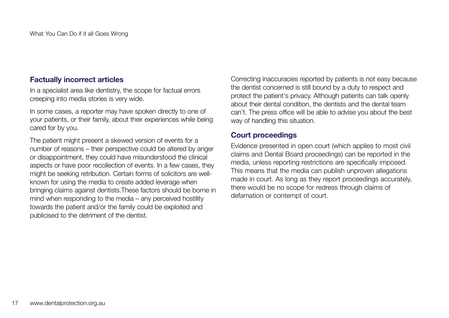#### **Factually incorrect articles**

In a specialist area like dentistry, the scope for factual errors creeping into media stories is very wide.

In some cases, a reporter may have spoken directly to one of your patients, or their family, about their experiences while being cared for by you.

The patient might present a skewed version of events for a number of reasons – their perspective could be altered by anger or disappointment, they could have misunderstood the clinical aspects or have poor recollection of events. In a few cases, they might be seeking retribution. Certain forms of solicitors are wellknown for using the media to create added leverage when bringing claims against dentists.These factors should be borne in mind when responding to the media – any perceived hostility towards the patient and/or the family could be exploited and publicised to the detriment of the dentist.

Correcting inaccuracies reported by patients is not easy because the dentist concerned is still bound by a duty to respect and protect the patient's privacy. Although patients can talk openly about their dental condition, the dentists and the dental team can't. The press office will be able to advise you about the best way of handling this situation.

### **Court proceedings**

Evidence presented in open court (which applies to most civil claims and Dental Board proceedings) can be reported in the media, unless reporting restrictions are specifically imposed. This means that the media can publish unproven allegations made in court. As long as they report proceedings accurately, there would be no scope for redress through claims of defamation or contempt of court.